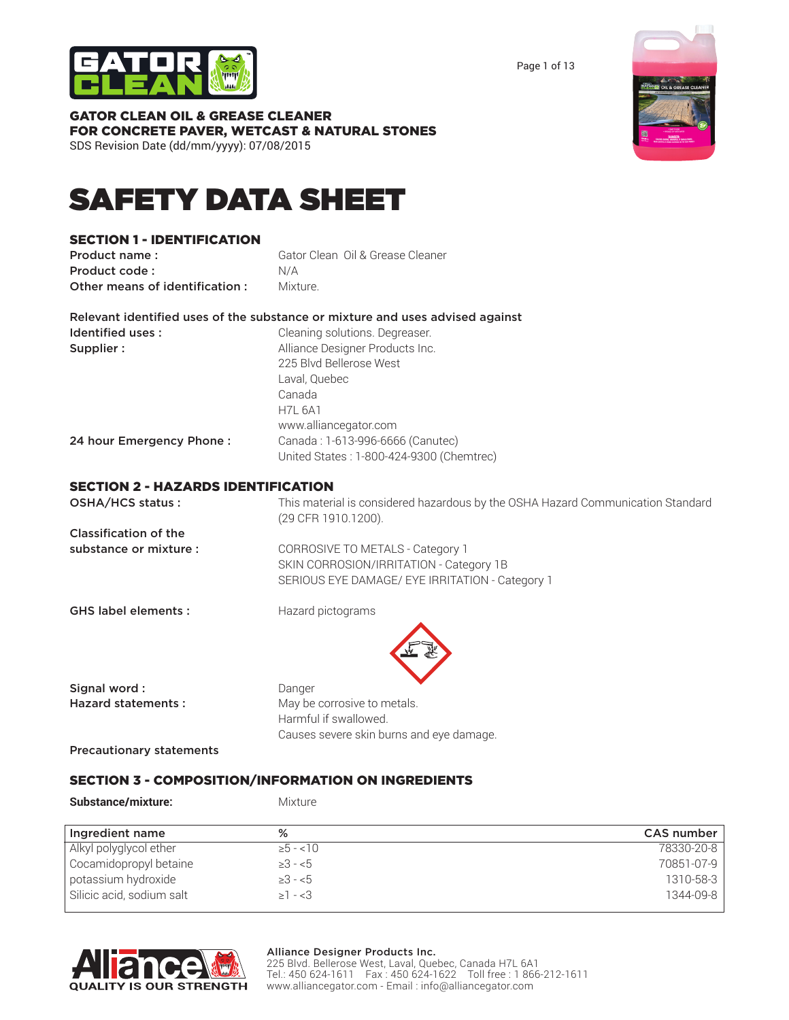

Page 1 of 13

| <b>GATOR CLEAN OIL &amp; GREASE CLEANER</b><br>FOR CONCRETE PAVER, WETCAST & NATURAL STONES<br>SDS Revision Date (dd/mm/yyyy): 07/08/2015 |                                                                                                                                                                                                                                                     |
|-------------------------------------------------------------------------------------------------------------------------------------------|-----------------------------------------------------------------------------------------------------------------------------------------------------------------------------------------------------------------------------------------------------|
| <b>SAFETY DATA SHEET</b>                                                                                                                  |                                                                                                                                                                                                                                                     |
| <b>SECTION 1 - IDENTIFICATION</b><br>Product name:<br>Product code:<br>Other means of identification:                                     | Gator Clean Oil & Grease Cleaner<br>N/A<br>Mixture.                                                                                                                                                                                                 |
| Identified uses:<br>Supplier:                                                                                                             | Relevant identified uses of the substance or mixture and uses advised against<br>Cleaning solutions. Degreaser.<br>Alliance Designer Products Inc.<br>225 Blvd Bellerose West<br>Laval, Quebec<br>Canada<br><b>H7L 6A1</b><br>www.alliancegator.com |
| 24 hour Emergency Phone:                                                                                                                  | Canada: 1-613-996-6666 (Canutec)<br>United States: 1-800-424-9300 (Chemtrec)                                                                                                                                                                        |
| <b>SECTION 2 - HAZARDS IDENTIFICATION</b><br>OSHA/HCS status:                                                                             | This material is considered hazardous by the OSH/                                                                                                                                                                                                   |

| OSHA/HCS status:             | This material is considered hazardous by the OSHA Hazard Communication Standard |
|------------------------------|---------------------------------------------------------------------------------|
|                              | (29 CFR 1910.1200).                                                             |
| <b>Classification of the</b> |                                                                                 |
| substance or mixture :       | CORROSIVE TO METALS - Category 1                                                |
|                              | SKIN CORROSION/IRRITATION - Category 1B                                         |
|                              | SERIOUS EYE DAMAGE/ EYE IRRITATION - Category 1                                 |
| <b>GHS label elements:</b>   | Hazard pictograms                                                               |
|                              |                                                                                 |

| Signal word:                    | Danger                                   |
|---------------------------------|------------------------------------------|
| Hazard statements:              | May be corrosive to metals.              |
|                                 | Harmful if swallowed.                    |
|                                 | Causes severe skin burns and eye damage. |
| <b>Precautionary statements</b> |                                          |

# SECTION 3 - COMPOSITION/INFORMATION ON INGREDIENTS

| Substance/mixture:        | <b>Mixture</b> |                   |
|---------------------------|----------------|-------------------|
| Ingredient name           | %              | <b>CAS number</b> |
| Alkyl polyglycol ether    | $\ge 5 - 10$   | 78330-20-8        |
| Cocamidopropyl betaine    | $\geq 3 - 5$   | 70851-07-9        |
| potassium hydroxide       | $\geq 3 - 5$   | 1310-58-3         |
| Silicic acid, sodium salt | $\geq 1 - 3$   | 1344-09-8         |



#### Alliance Designer Products Inc.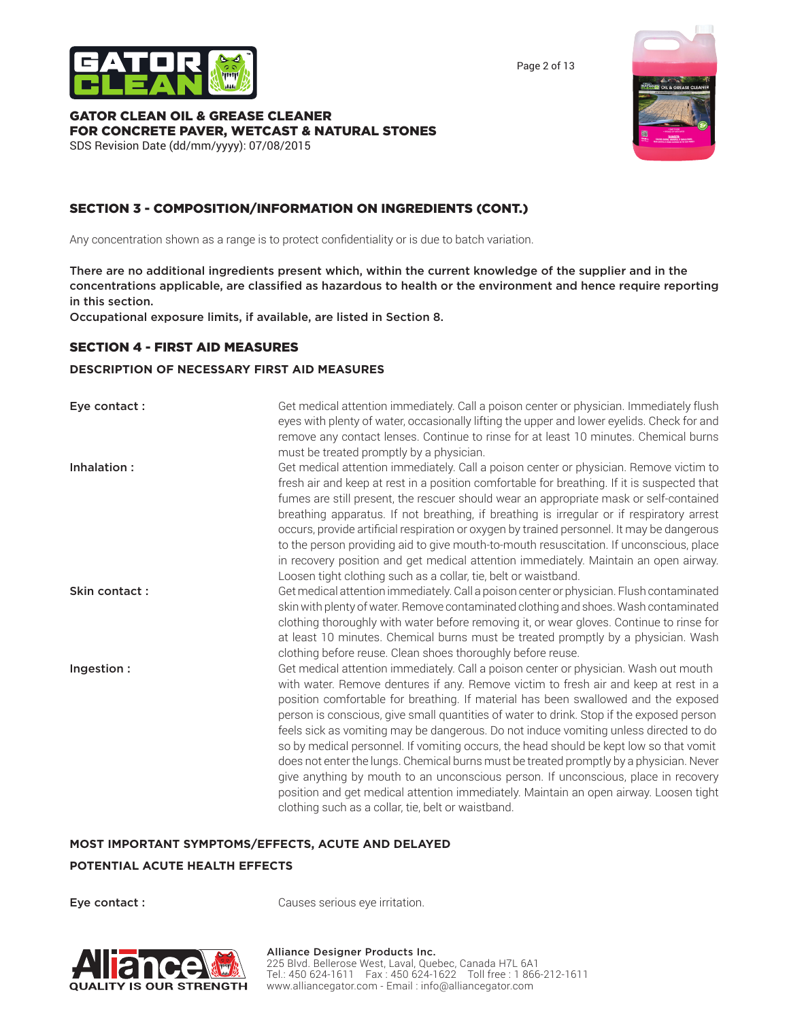



Page 2 of 13

# GATOR CLEAN OIL & GREASE CLEANER FOR CONCRETE PAVER, WETCAST & NATURAL STONES

SDS Revision Date (dd/mm/yyyy): 07/08/2015

# SECTION 3 - COMPOSITION/INFORMATION ON INGREDIENTS (CONT.)

Any concentration shown as a range is to protect confidentiality or is due to batch variation.

There are no additional ingredients present which, within the current knowledge of the supplier and in the concentrations applicable, are classified as hazardous to health or the environment and hence require reporting in this section.

Occupational exposure limits, if available, are listed in Section 8.

## SECTION 4 - FIRST AID MEASURES

### **DESCRIPTION OF NECESSARY FIRST AID MEASURES**

| Eye contact:  | Get medical attention immediately. Call a poison center or physician. Immediately flush<br>eyes with plenty of water, occasionally lifting the upper and lower eyelids. Check for and<br>remove any contact lenses. Continue to rinse for at least 10 minutes. Chemical burns<br>must be treated promptly by a physician.                                                                                                                                                                                                                                                                                                                                                                                                                                                                                                                                                         |
|---------------|-----------------------------------------------------------------------------------------------------------------------------------------------------------------------------------------------------------------------------------------------------------------------------------------------------------------------------------------------------------------------------------------------------------------------------------------------------------------------------------------------------------------------------------------------------------------------------------------------------------------------------------------------------------------------------------------------------------------------------------------------------------------------------------------------------------------------------------------------------------------------------------|
| Inhalation:   | Get medical attention immediately. Call a poison center or physician. Remove victim to<br>fresh air and keep at rest in a position comfortable for breathing. If it is suspected that<br>fumes are still present, the rescuer should wear an appropriate mask or self-contained<br>breathing apparatus. If not breathing, if breathing is irregular or if respiratory arrest<br>occurs, provide artificial respiration or oxygen by trained personnel. It may be dangerous<br>to the person providing aid to give mouth-to-mouth resuscitation. If unconscious, place<br>in recovery position and get medical attention immediately. Maintain an open airway.<br>Loosen tight clothing such as a collar, tie, belt or waistband.                                                                                                                                                  |
| Skin contact: | Get medical attention immediately. Call a poison center or physician. Flush contaminated<br>skin with plenty of water. Remove contaminated clothing and shoes. Wash contaminated<br>clothing thoroughly with water before removing it, or wear gloves. Continue to rinse for<br>at least 10 minutes. Chemical burns must be treated promptly by a physician. Wash<br>clothing before reuse. Clean shoes thoroughly before reuse.                                                                                                                                                                                                                                                                                                                                                                                                                                                  |
| Ingestion:    | Get medical attention immediately. Call a poison center or physician. Wash out mouth<br>with water. Remove dentures if any. Remove victim to fresh air and keep at rest in a<br>position comfortable for breathing. If material has been swallowed and the exposed<br>person is conscious, give small quantities of water to drink. Stop if the exposed person<br>feels sick as vomiting may be dangerous. Do not induce vomiting unless directed to do<br>so by medical personnel. If vomiting occurs, the head should be kept low so that vomit<br>does not enter the lungs. Chemical burns must be treated promptly by a physician. Never<br>give anything by mouth to an unconscious person. If unconscious, place in recovery<br>position and get medical attention immediately. Maintain an open airway. Loosen tight<br>clothing such as a collar, tie, belt or waistband. |

### **MOST IMPORTANT SYMPTOMS/EFFECTS, ACUTE AND DELAYED**

### **POTENTIAL ACUTE HEALTH EFFECTS**

Eye contact : Causes serious eye irritation.

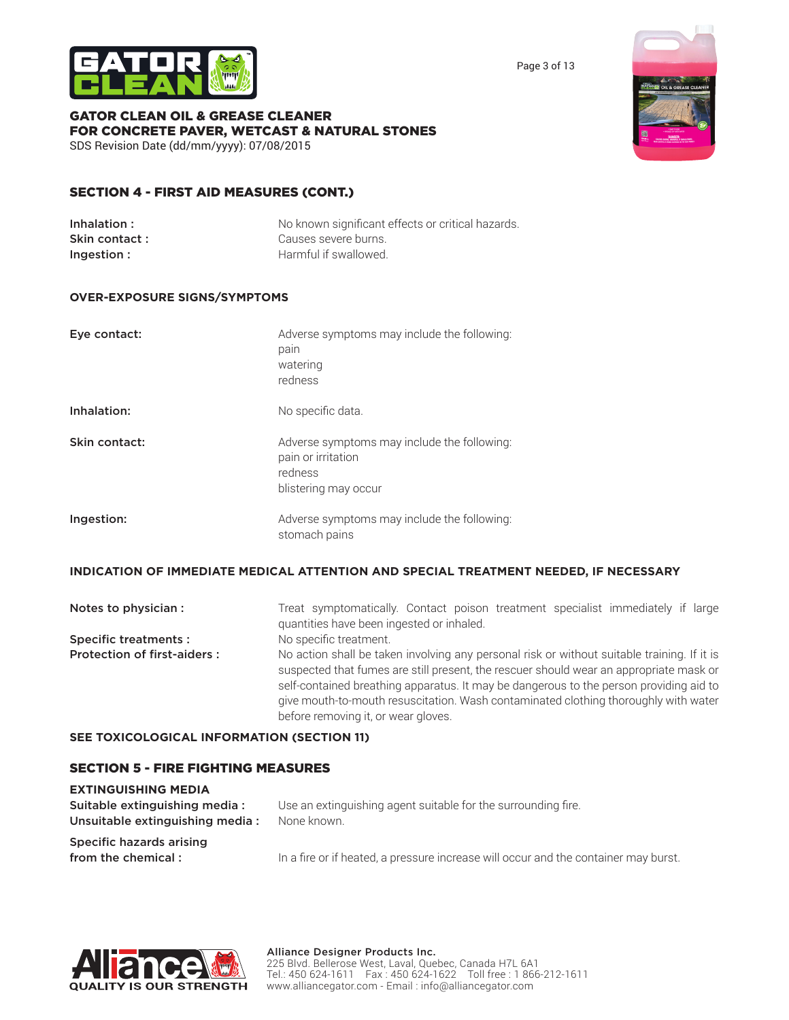

Page 3 of 13

#### GATOR CLEAN OIL & GREASE CLEANER FOR CONCRETE PAVER, WETCAST & NATURAL STONES SDS Revision Date (dd/mm/yyyy): 07/08/2015

# SECTION 4 - FIRST AID MEASURES (CONT.)

| Inhalation :   | No known significant effects or critical hazards. |
|----------------|---------------------------------------------------|
| Skin contact : | Causes severe burns.                              |
| Ingestion :    | Harmful if swallowed.                             |

## **OVER-EXPOSURE SIGNS/SYMPTOMS**

| Eye contact:  | Adverse symptoms may include the following:<br>pain<br>watering<br>redness                           |
|---------------|------------------------------------------------------------------------------------------------------|
| Inhalation:   | No specific data.                                                                                    |
| Skin contact: | Adverse symptoms may include the following:<br>pain or irritation<br>redness<br>blistering may occur |
| Ingestion:    | Adverse symptoms may include the following:<br>stomach pains                                         |

### **INDICATION OF IMMEDIATE MEDICAL ATTENTION AND SPECIAL TREATMENT NEEDED, IF NECESSARY**

| Notes to physician :               | Treat symptomatically. Contact poison treatment specialist immediately if large<br>quantities have been ingested or inhaled.                                                                                                                                                                                                                                                                                  |
|------------------------------------|---------------------------------------------------------------------------------------------------------------------------------------------------------------------------------------------------------------------------------------------------------------------------------------------------------------------------------------------------------------------------------------------------------------|
| <b>Specific treatments:</b>        | No specific treatment.                                                                                                                                                                                                                                                                                                                                                                                        |
| <b>Protection of first-aiders:</b> | No action shall be taken involving any personal risk or without suitable training. If it is<br>suspected that fumes are still present, the rescuer should wear an appropriate mask or<br>self-contained breathing apparatus. It may be dangerous to the person providing aid to<br>give mouth-to-mouth resuscitation. Wash contaminated clothing thoroughly with water<br>before removing it, or wear gloves. |

### **SEE TOXICOLOGICAL INFORMATION (SECTION 11)**

# SECTION 5 - FIRE FIGHTING MEASURES

| <b>EXTINGUISHING MEDIA</b>                                       |                                                                                     |
|------------------------------------------------------------------|-------------------------------------------------------------------------------------|
| Suitable extinguishing media:<br>Unsuitable extinguishing media: | Use an extinguishing agent suitable for the surrounding fire.<br>None known.        |
| Specific hazards arising<br>from the chemical:                   | In a fire or if heated, a pressure increase will occur and the container may burst. |



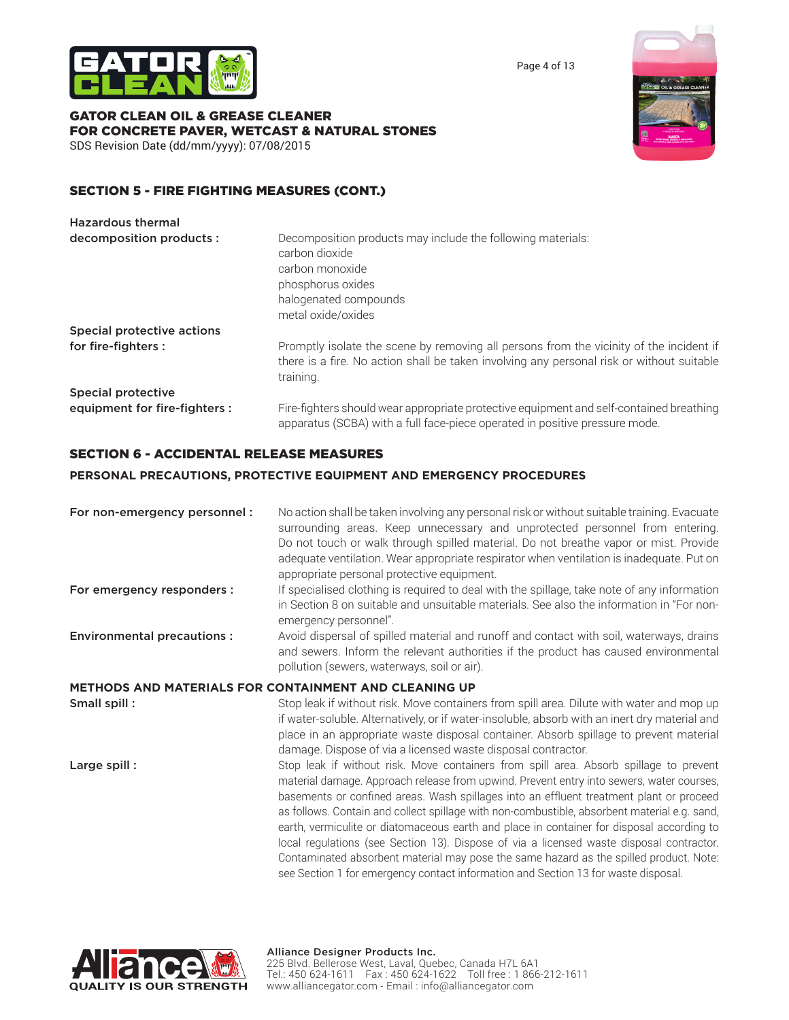

Page 4 of 13

# GATOR CLEAN OIL & GREASE CLEANER FOR CONCRETE PAVER, WETCAST & NATURAL STONES

SDS Revision Date (dd/mm/yyyy): 07/08/2015

# SECTION 5 - FIRE FIGHTING MEASURES (CONT.)

| <b>Hazardous thermal</b>      |                                                                                                                                                                                                   |
|-------------------------------|---------------------------------------------------------------------------------------------------------------------------------------------------------------------------------------------------|
| decomposition products :      | Decomposition products may include the following materials:<br>carbon dioxide<br>carbon monoxide<br>phosphorus oxides<br>halogenated compounds<br>metal oxide/oxides                              |
| Special protective actions    |                                                                                                                                                                                                   |
| for fire-fighters :           | Promptly isolate the scene by removing all persons from the vicinity of the incident if<br>there is a fire. No action shall be taken involving any personal risk or without suitable<br>training. |
| Special protective            |                                                                                                                                                                                                   |
| equipment for fire-fighters : | Fire-fighters should wear appropriate protective equipment and self-contained breathing<br>apparatus (SCBA) with a full face-piece operated in positive pressure mode.                            |

# SECTION 6 - ACCIDENTAL RELEASE MEASURES

# **PERSONAL PRECAUTIONS, PROTECTIVE EQUIPMENT AND EMERGENCY PROCEDURES**

| For non-emergency personnel :<br>For emergency responders : | No action shall be taken involving any personal risk or without suitable training. Evacuate<br>surrounding areas. Keep unnecessary and unprotected personnel from entering.<br>Do not touch or walk through spilled material. Do not breathe vapor or mist. Provide<br>adequate ventilation. Wear appropriate respirator when ventilation is inadequate. Put on<br>appropriate personal protective equipment.<br>If specialised clothing is required to deal with the spillage, take note of any information                                                                                                                                                                                                                                           |
|-------------------------------------------------------------|--------------------------------------------------------------------------------------------------------------------------------------------------------------------------------------------------------------------------------------------------------------------------------------------------------------------------------------------------------------------------------------------------------------------------------------------------------------------------------------------------------------------------------------------------------------------------------------------------------------------------------------------------------------------------------------------------------------------------------------------------------|
|                                                             | in Section 8 on suitable and unsuitable materials. See also the information in "For non-<br>emergency personnel".                                                                                                                                                                                                                                                                                                                                                                                                                                                                                                                                                                                                                                      |
| <b>Environmental precautions:</b>                           | Avoid dispersal of spilled material and runoff and contact with soil, waterways, drains<br>and sewers. Inform the relevant authorities if the product has caused environmental<br>pollution (sewers, waterways, soil or air).                                                                                                                                                                                                                                                                                                                                                                                                                                                                                                                          |
|                                                             | METHODS AND MATERIALS FOR CONTAINMENT AND CLEANING UP                                                                                                                                                                                                                                                                                                                                                                                                                                                                                                                                                                                                                                                                                                  |
| Small spill :                                               | Stop leak if without risk. Move containers from spill area. Dilute with water and mop up<br>if water-soluble. Alternatively, or if water-insoluble, absorb with an inert dry material and<br>place in an appropriate waste disposal container. Absorb spillage to prevent material<br>damage. Dispose of via a licensed waste disposal contractor.                                                                                                                                                                                                                                                                                                                                                                                                     |
| Large spill:                                                | Stop leak if without risk. Move containers from spill area. Absorb spillage to prevent<br>material damage. Approach release from upwind. Prevent entry into sewers, water courses,<br>basements or confined areas. Wash spillages into an effluent treatment plant or proceed<br>as follows. Contain and collect spillage with non-combustible, absorbent material e.g. sand,<br>earth, vermiculite or diatomaceous earth and place in container for disposal according to<br>local regulations (see Section 13). Dispose of via a licensed waste disposal contractor.<br>Contaminated absorbent material may pose the same hazard as the spilled product. Note:<br>see Section 1 for emergency contact information and Section 13 for waste disposal. |

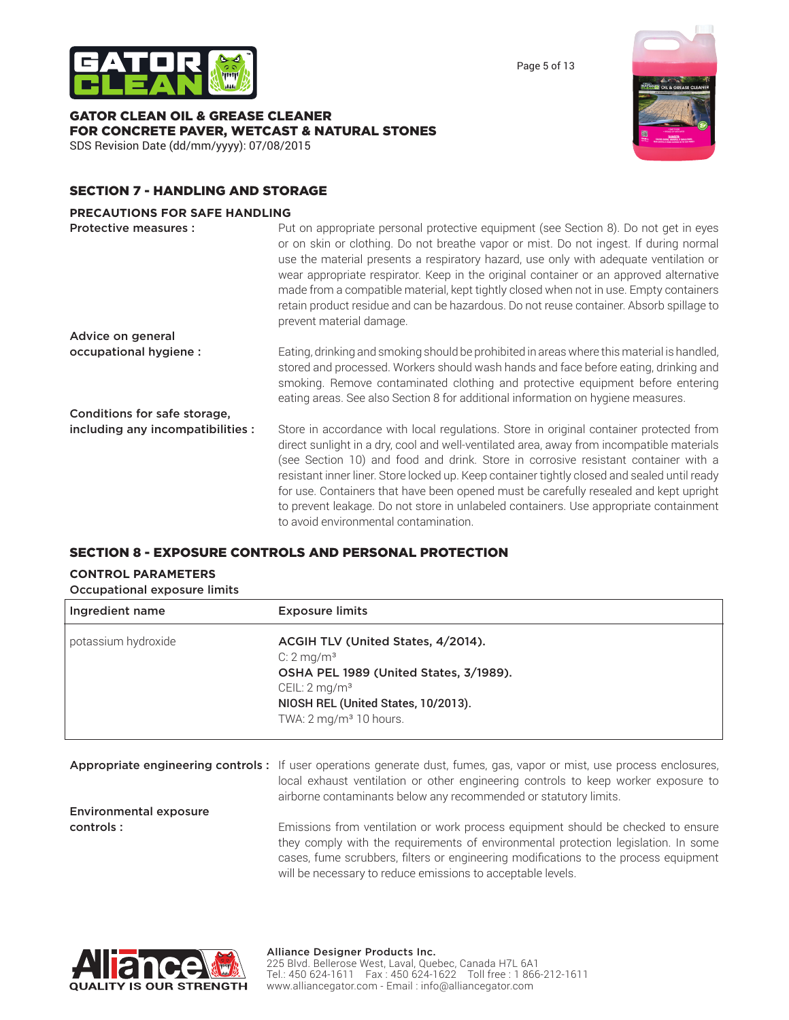



GATOR CLEAN OIL & GREASE CLEANER FOR CONCRETE PAVER, WETCAST & NATURAL STONES SDS Revision Date (dd/mm/yyyy): 07/08/2015



# SECTION 7 - HANDLING AND STORAGE

#### **PRECAUTIONS FOR SAFE HANDLING**

| <b>Protective measures:</b>       | Put on appropriate personal protective equipment (see Section 8). Do not get in eyes<br>or on skin or clothing. Do not breathe vapor or mist. Do not ingest. If during normal<br>use the material presents a respiratory hazard, use only with adequate ventilation or<br>wear appropriate respirator. Keep in the original container or an approved alternative<br>made from a compatible material, kept tightly closed when not in use. Empty containers<br>retain product residue and can be hazardous. Do not reuse container. Absorb spillage to<br>prevent material damage.                    |
|-----------------------------------|------------------------------------------------------------------------------------------------------------------------------------------------------------------------------------------------------------------------------------------------------------------------------------------------------------------------------------------------------------------------------------------------------------------------------------------------------------------------------------------------------------------------------------------------------------------------------------------------------|
| Advice on general                 |                                                                                                                                                                                                                                                                                                                                                                                                                                                                                                                                                                                                      |
| occupational hygiene :            | Eating, drinking and smoking should be prohibited in areas where this material is handled,<br>stored and processed. Workers should wash hands and face before eating, drinking and<br>smoking. Remove contaminated clothing and protective equipment before entering<br>eating areas. See also Section 8 for additional information on hygiene measures.                                                                                                                                                                                                                                             |
| Conditions for safe storage,      |                                                                                                                                                                                                                                                                                                                                                                                                                                                                                                                                                                                                      |
| including any incompatibilities : | Store in accordance with local regulations. Store in original container protected from<br>direct sunlight in a dry, cool and well-ventilated area, away from incompatible materials<br>(see Section 10) and food and drink. Store in corrosive resistant container with a<br>resistant inner liner. Store locked up. Keep container tightly closed and sealed until ready<br>for use. Containers that have been opened must be carefully resealed and kept upright<br>to prevent leakage. Do not store in unlabeled containers. Use appropriate containment<br>to avoid environmental contamination. |

# SECTION 8 - EXPOSURE CONTROLS AND PERSONAL PROTECTION

# **CONTROL PARAMETERS**

Occupational exposure limits

| Ingredient name     | <b>Exposure limits</b>                                                                                                                                                                                          |
|---------------------|-----------------------------------------------------------------------------------------------------------------------------------------------------------------------------------------------------------------|
| potassium hydroxide | ACGIH TLV (United States, 4/2014).<br>$C: 2 \, \text{mq/m}^3$<br>OSHA PEL 1989 (United States, 3/1989).<br>CEIL: $2 \text{ mg/m}^3$<br>NIOSH REL (United States, 10/2013).<br>TWA: $2 \text{ mg/m}^3$ 10 hours. |

|                               | Appropriate engineering controls: If user operations generate dust, fumes, gas, vapor or mist, use process enclosures, |
|-------------------------------|------------------------------------------------------------------------------------------------------------------------|
|                               | local exhaust ventilation or other engineering controls to keep worker exposure to                                     |
|                               | airborne contaminants below any recommended or statutory limits.                                                       |
| <b>Environmental exposure</b> |                                                                                                                        |

controls : **Emissions from ventilation or work process equipment should be checked to ensure** they comply with the requirements of environmental protection legislation. In some cases, fume scrubbers, filters or engineering modifications to the process equipment will be necessary to reduce emissions to acceptable levels.

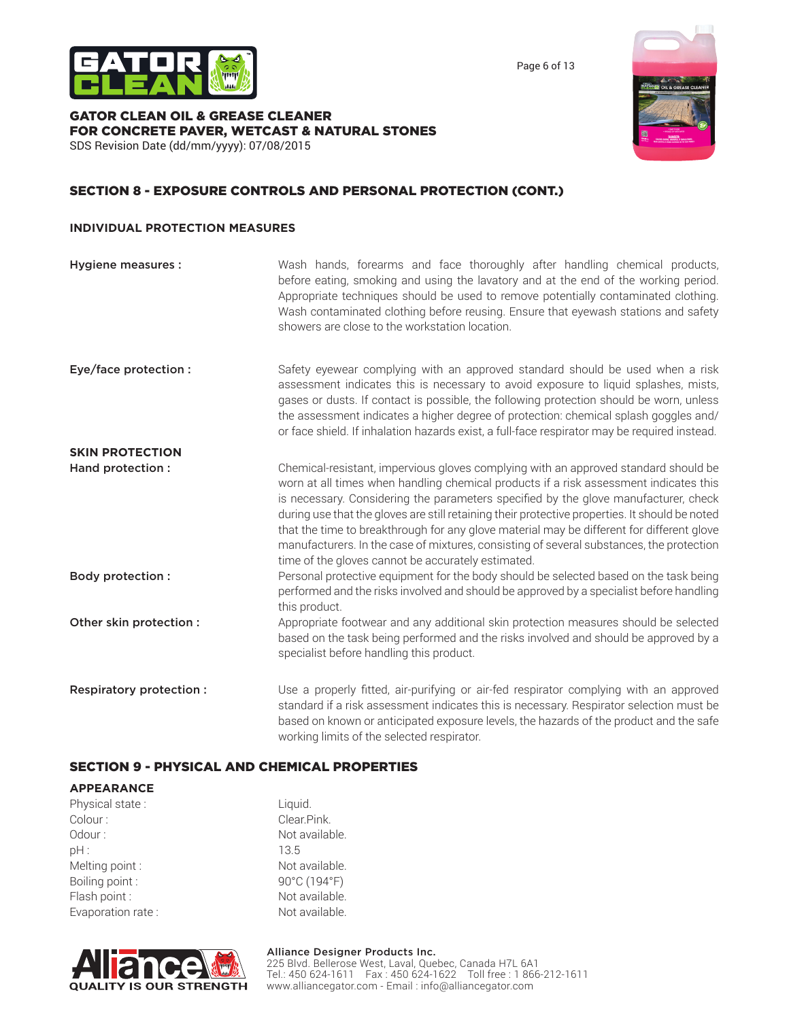

Page 6 of 13

#### GATOR CLEAN OIL & GREASE CLEANER FOR CONCRETE PAVER, WETCAST & NATURAL STONES SDS Revision Date (dd/mm/yyyy): 07/08/2015



# SECTION 8 - EXPOSURE CONTROLS AND PERSONAL PROTECTION (CONT.)

### **INDIVIDUAL PROTECTION MEASURES**

| <b>Hygiene measures:</b> | Wash hands, forearms and face thoroughly after handling chemical products,<br>before eating, smoking and using the lavatory and at the end of the working period.<br>Appropriate techniques should be used to remove potentially contaminated clothing.<br>Wash contaminated clothing before reusing. Ensure that eyewash stations and safety<br>showers are close to the workstation location.                                                                                                                                                                                                                      |
|--------------------------|----------------------------------------------------------------------------------------------------------------------------------------------------------------------------------------------------------------------------------------------------------------------------------------------------------------------------------------------------------------------------------------------------------------------------------------------------------------------------------------------------------------------------------------------------------------------------------------------------------------------|
| Eye/face protection :    | Safety eyewear complying with an approved standard should be used when a risk<br>assessment indicates this is necessary to avoid exposure to liquid splashes, mists,<br>gases or dusts. If contact is possible, the following protection should be worn, unless<br>the assessment indicates a higher degree of protection: chemical splash goggles and/<br>or face shield. If inhalation hazards exist, a full-face respirator may be required instead.                                                                                                                                                              |
| <b>SKIN PROTECTION</b>   |                                                                                                                                                                                                                                                                                                                                                                                                                                                                                                                                                                                                                      |
| Hand protection :        | Chemical-resistant, impervious gloves complying with an approved standard should be<br>worn at all times when handling chemical products if a risk assessment indicates this<br>is necessary. Considering the parameters specified by the glove manufacturer, check<br>during use that the gloves are still retaining their protective properties. It should be noted<br>that the time to breakthrough for any glove material may be different for different glove<br>manufacturers. In the case of mixtures, consisting of several substances, the protection<br>time of the gloves cannot be accurately estimated. |
| Body protection :        | Personal protective equipment for the body should be selected based on the task being<br>performed and the risks involved and should be approved by a specialist before handling<br>this product.                                                                                                                                                                                                                                                                                                                                                                                                                    |
| Other skin protection :  | Appropriate footwear and any additional skin protection measures should be selected<br>based on the task being performed and the risks involved and should be approved by a<br>specialist before handling this product.                                                                                                                                                                                                                                                                                                                                                                                              |
| Respiratory protection:  | Use a properly fitted, air-purifying or air-fed respirator complying with an approved<br>standard if a risk assessment indicates this is necessary. Respirator selection must be<br>based on known or anticipated exposure levels, the hazards of the product and the safe                                                                                                                                                                                                                                                                                                                                           |

working limits of the selected respirator.

# SECTION 9 - PHYSICAL AND CHEMICAL PROPERTIES

| <b>APPEARANCE</b> |                |
|-------------------|----------------|
| Physical state:   | Liquid.        |
| Colour:           | Clear.Pink.    |
| Odour:            | Not available. |
| DH:               | 13.5           |
| Melting point:    | Not available. |
| Boiling point:    | 90°C (194°F)   |
| Flash point:      | Not available. |
| Evaporation rate: | Not available. |
|                   |                |

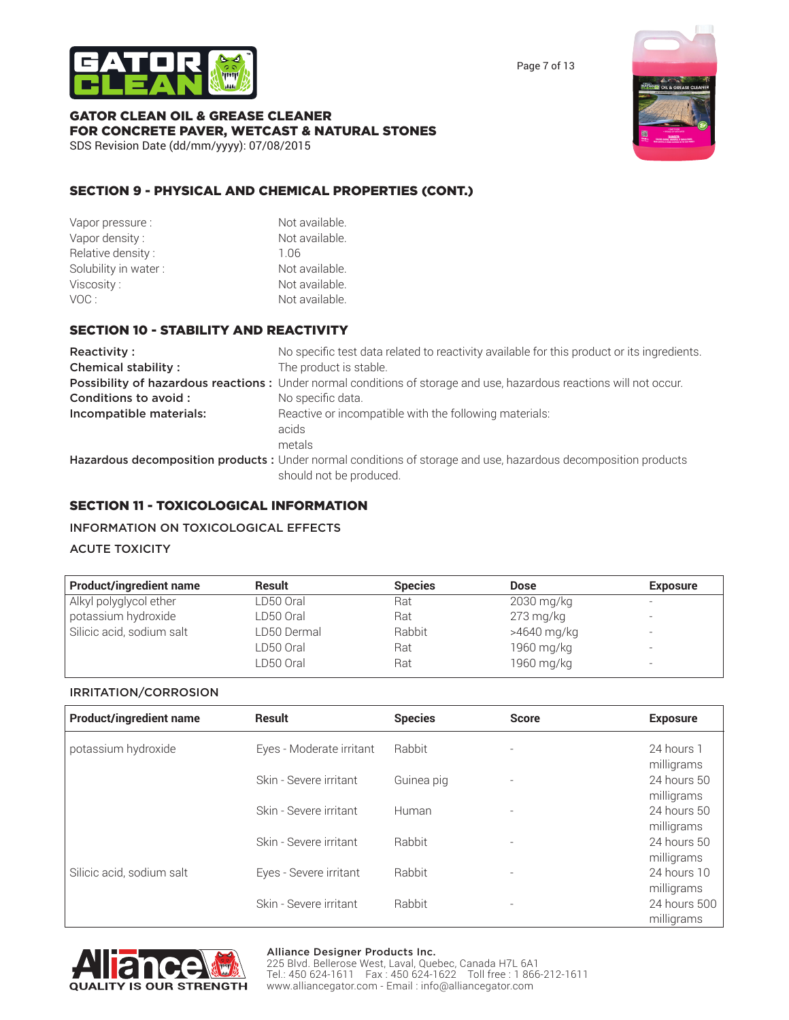

Page 7 of 13

## GATOR CLEAN OIL & GREASE CLEANER FOR CONCRETE PAVER, WETCAST & NATURAL STONES SDS Revision Date (dd/mm/yyyy): 07/08/2015



# SECTION 9 - PHYSICAL AND CHEMICAL PROPERTIES (CONT.)

| Vapor pressure :     | Not available. |
|----------------------|----------------|
| Vapor density:       | Not available. |
| Relative density:    | 1 Q6           |
| Solubility in water: | Not available. |
| Viscosity :          | Not available. |
| VOC :                | Not available. |
|                      |                |

# SECTION 10 - STABILITY AND REACTIVITY

| Reactivity:                | No specific test data related to reactivity available for this product or its ingredients.                          |
|----------------------------|---------------------------------------------------------------------------------------------------------------------|
| <b>Chemical stability:</b> | The product is stable.                                                                                              |
|                            | Possibility of hazardous reactions: Under normal conditions of storage and use, hazardous reactions will not occur. |
| Conditions to avoid:       | No specific data.                                                                                                   |
| Incompatible materials:    | Reactive or incompatible with the following materials:                                                              |
|                            | acids                                                                                                               |
|                            | metals                                                                                                              |
|                            | Hazardous decomposition products : Under normal conditions of storage and use, hazardous decomposition products     |
|                            | should not be produced.                                                                                             |

# SECTION 11 - TOXICOLOGICAL INFORMATION

# INFORMATION ON TOXICOLOGICAL EFFECTS

# ACUTE TOXICITY

| <b>Product/ingredient name</b> | <b>Result</b> | <b>Species</b> | <b>Dose</b> | <b>Exposure</b>          |
|--------------------------------|---------------|----------------|-------------|--------------------------|
| Alkyl polyglycol ether         | LD50 Oral     | Rat            | 2030 mg/kg  | -                        |
| potassium hydroxide            | LD50 Oral     | Rat            | $273$ mg/kg |                          |
| Silicic acid, sodium salt      | LD50 Dermal   | Rabbit         | >4640 mg/kg | $\overline{\phantom{a}}$ |
|                                | LD50 Oral     | Rat            | 1960 mg/kg  |                          |
|                                | LD50 Oral     | Rat            | 1960 mg/kg  | -                        |

### IRRITATION/CORROSION

| <b>Product/ingredient name</b> | <b>Result</b>            | <b>Species</b> | <b>Score</b>             | <b>Exposure</b>            |
|--------------------------------|--------------------------|----------------|--------------------------|----------------------------|
| potassium hydroxide            | Eyes - Moderate irritant | Rabbit         | $\overline{\phantom{a}}$ | 24 hours 1<br>milligrams   |
|                                | Skin - Severe irritant   | Guinea pig     | $\overline{\phantom{a}}$ | 24 hours 50<br>milligrams  |
|                                | Skin - Severe irritant   | Human          | ٠                        | 24 hours 50<br>milligrams  |
|                                | Skin - Severe irritant   | Rabbit         | $\overline{\phantom{a}}$ | 24 hours 50<br>milligrams  |
| Silicic acid, sodium salt      | Eyes - Severe irritant   | Rabbit         | $\overline{\phantom{a}}$ | 24 hours 10<br>milligrams  |
|                                | Skin - Severe irritant   | Rabbit         | $\overline{\phantom{a}}$ | 24 hours 500<br>milligrams |



# Alliance Designer Products Inc. 225 Blvd. Bellerose West, Laval, Quebec, Canada H7L 6A1

Tel.: 450 624-1611 Fax : 450 624-1622 Toll free : 1 866-212-1611 www.alliancegator.com - Email : info@alliancegator.com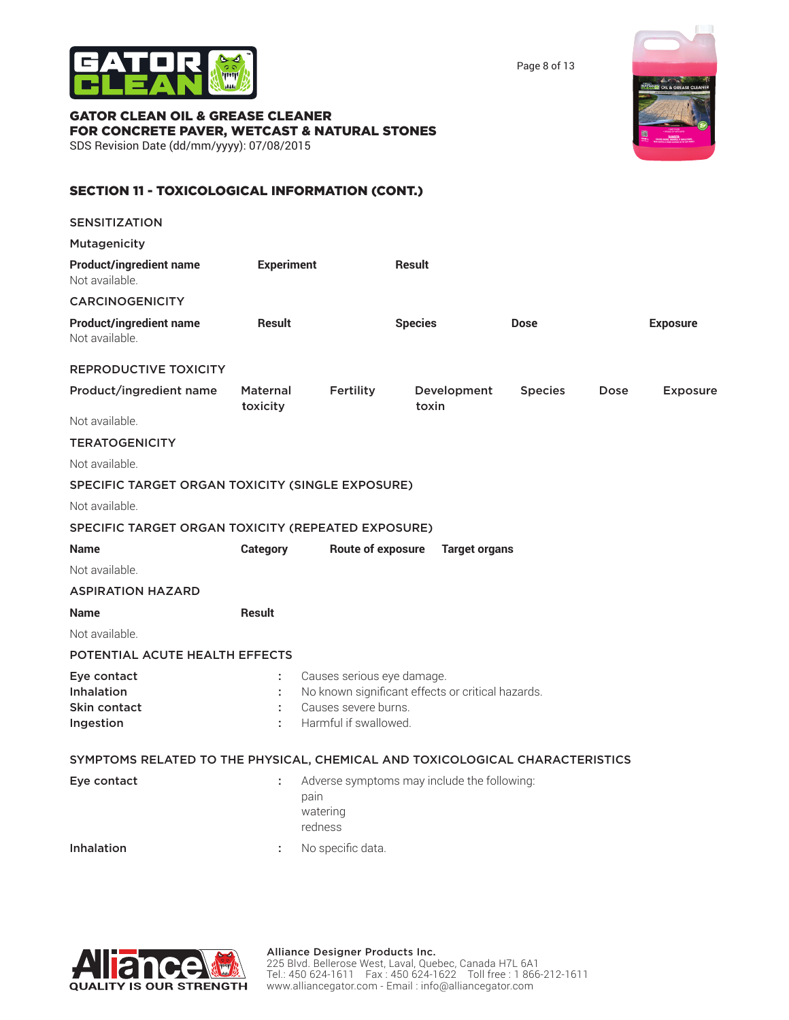

Page 8 of 13

### GATOR CLEAN OIL & GREASE CLEANER FOR CONCRETE PAVER, WETCAST & NATURAL STONES SDS Revision Date (dd/mm/yyyy): 07/08/2015

# SECTION 11 - TOXICOLOGICAL INFORMATION (CONT.)

| <b>SENSITIZATION</b>                                                         |                             |                                                                             |                                                   |                |             |                 |
|------------------------------------------------------------------------------|-----------------------------|-----------------------------------------------------------------------------|---------------------------------------------------|----------------|-------------|-----------------|
| <b>Mutagenicity</b>                                                          |                             |                                                                             |                                                   |                |             |                 |
| <b>Product/ingredient name</b><br>Not available.                             | <b>Experiment</b>           |                                                                             | <b>Result</b>                                     |                |             |                 |
| <b>CARCINOGENICITY</b>                                                       |                             |                                                                             |                                                   |                |             |                 |
| <b>Product/ingredient name</b><br>Not available.                             | <b>Result</b>               |                                                                             | <b>Species</b>                                    | <b>Dose</b>    |             | <b>Exposure</b> |
| <b>REPRODUCTIVE TOXICITY</b>                                                 |                             |                                                                             |                                                   |                |             |                 |
| Product/ingredient name                                                      | <b>Maternal</b><br>toxicity | Fertility                                                                   | Development<br>toxin                              | <b>Species</b> | <b>Dose</b> | <b>Exposure</b> |
| Not available.                                                               |                             |                                                                             |                                                   |                |             |                 |
| <b>TERATOGENICITY</b>                                                        |                             |                                                                             |                                                   |                |             |                 |
| Not available.                                                               |                             |                                                                             |                                                   |                |             |                 |
| SPECIFIC TARGET ORGAN TOXICITY (SINGLE EXPOSURE)                             |                             |                                                                             |                                                   |                |             |                 |
| Not available.                                                               |                             |                                                                             |                                                   |                |             |                 |
| SPECIFIC TARGET ORGAN TOXICITY (REPEATED EXPOSURE)                           |                             |                                                                             |                                                   |                |             |                 |
| <b>Name</b>                                                                  | <b>Category</b>             | <b>Route of exposure</b>                                                    | <b>Target organs</b>                              |                |             |                 |
| Not available.                                                               |                             |                                                                             |                                                   |                |             |                 |
| <b>ASPIRATION HAZARD</b>                                                     |                             |                                                                             |                                                   |                |             |                 |
| <b>Name</b>                                                                  | <b>Result</b>               |                                                                             |                                                   |                |             |                 |
| Not available.                                                               |                             |                                                                             |                                                   |                |             |                 |
| POTENTIAL ACUTE HEALTH EFFECTS                                               |                             |                                                                             |                                                   |                |             |                 |
| Eye contact<br><b>Inhalation</b><br><b>Skin contact</b><br>Ingestion         | ÷<br>÷                      | Causes serious eye damage.<br>Causes severe burns.<br>Harmful if swallowed. | No known significant effects or critical hazards. |                |             |                 |
| SYMPTOMS RELATED TO THE PHYSICAL, CHEMICAL AND TOXICOLOGICAL CHARACTERISTICS |                             |                                                                             |                                                   |                |             |                 |
| Eye contact                                                                  | ÷                           | pain<br>watering<br>redness                                                 | Adverse symptoms may include the following:       |                |             |                 |
| <b>Inhalation</b>                                                            | ÷.                          | No specific data.                                                           |                                                   |                |             |                 |

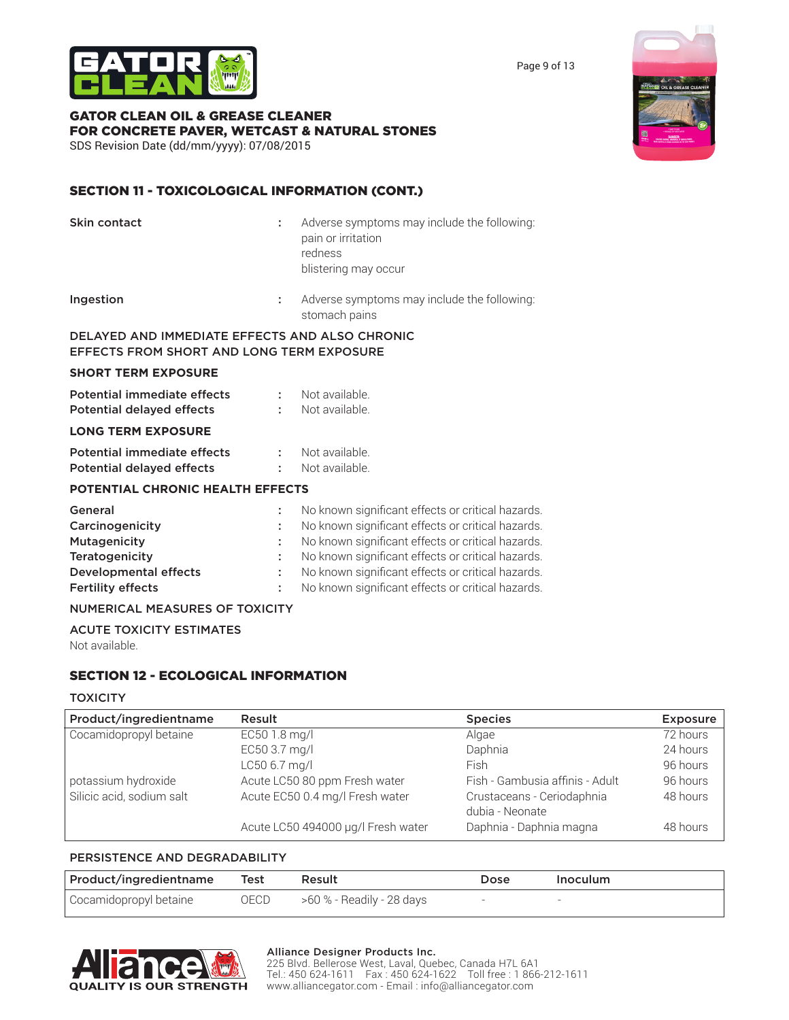

GATOR CLEAN OIL & GREASE CLEANER FOR CONCRETE PAVER, WETCAST & NATURAL STONES SDS Revision Date (dd/mm/yyyy): 07/08/2015

# SECTION 11 - TOXICOLOGICAL INFORMATION (CONT.)

| Skin contact                                                                                                                    | ÷      | Adverse symptoms may include the following:<br>pain or irritation<br>redness<br>blistering may occur                                                                                                                                                                                                                       |
|---------------------------------------------------------------------------------------------------------------------------------|--------|----------------------------------------------------------------------------------------------------------------------------------------------------------------------------------------------------------------------------------------------------------------------------------------------------------------------------|
| Ingestion                                                                                                                       | ÷.     | Adverse symptoms may include the following:<br>stomach pains                                                                                                                                                                                                                                                               |
| DELAYED AND IMMEDIATE EFFECTS AND ALSO CHRONIC<br>EFFECTS FROM SHORT AND LONG TERM EXPOSURE                                     |        |                                                                                                                                                                                                                                                                                                                            |
| <b>SHORT TERM EXPOSURE</b>                                                                                                      |        |                                                                                                                                                                                                                                                                                                                            |
| Potential immediate effects<br><b>Potential delayed effects</b>                                                                 | ÷.     | Not available.<br>Not available.                                                                                                                                                                                                                                                                                           |
| <b>LONG TERM EXPOSURE</b>                                                                                                       |        |                                                                                                                                                                                                                                                                                                                            |
| Potential immediate effects<br><b>Potential delayed effects</b>                                                                 | ÷      | Not available.<br>Not available.                                                                                                                                                                                                                                                                                           |
| <b>POTENTIAL CHRONIC HEALTH EFFECTS</b>                                                                                         |        |                                                                                                                                                                                                                                                                                                                            |
| General<br>Carcinogenicity<br>Mutagenicity<br><b>Teratogenicity</b><br><b>Developmental effects</b><br><b>Fertility effects</b> | ÷<br>÷ | No known significant effects or critical hazards.<br>No known significant effects or critical hazards.<br>No known significant effects or critical hazards.<br>No known significant effects or critical hazards.<br>No known significant effects or critical hazards.<br>No known significant effects or critical hazards. |
| <b>NUMERICAL MEASURES OF TOXICITY</b>                                                                                           |        |                                                                                                                                                                                                                                                                                                                            |
| <b>ACUTE TOXICITY ESTIMATES</b>                                                                                                 |        |                                                                                                                                                                                                                                                                                                                            |

Not available.

# SECTION 12 - ECOLOGICAL INFORMATION

### **TOXICITY**

| Product/ingredientname    | Result                             | <b>Species</b>                                | <b>Exposure</b> |
|---------------------------|------------------------------------|-----------------------------------------------|-----------------|
| Cocamidopropyl betaine    | EC50 1.8 mg/l                      | Algae                                         | 72 hours        |
|                           | EC50 3.7 mg/l                      | Daphnia                                       | 24 hours        |
|                           | LC50 6.7 mg/l                      | <b>Fish</b>                                   | 96 hours        |
| potassium hydroxide       | Acute LC50 80 ppm Fresh water      | Fish - Gambusia affinis - Adult               | 96 hours        |
| Silicic acid, sodium salt | Acute EC50 0.4 mg/l Fresh water    | Crustaceans - Ceriodaphnia<br>dubia - Neonate | 48 hours        |
|                           | Acute LC50 494000 µg/l Fresh water | Daphnia - Daphnia magna                       | 48 hours        |

## PERSISTENCE AND DEGRADABILITY

| Product/ingredientname Test |      | Result                    | Dose | Inoculum |
|-----------------------------|------|---------------------------|------|----------|
| Cocamidopropyl betaine      | OECD | >60 % - Readily - 28 days |      |          |



### Alliance Designer Products Inc.

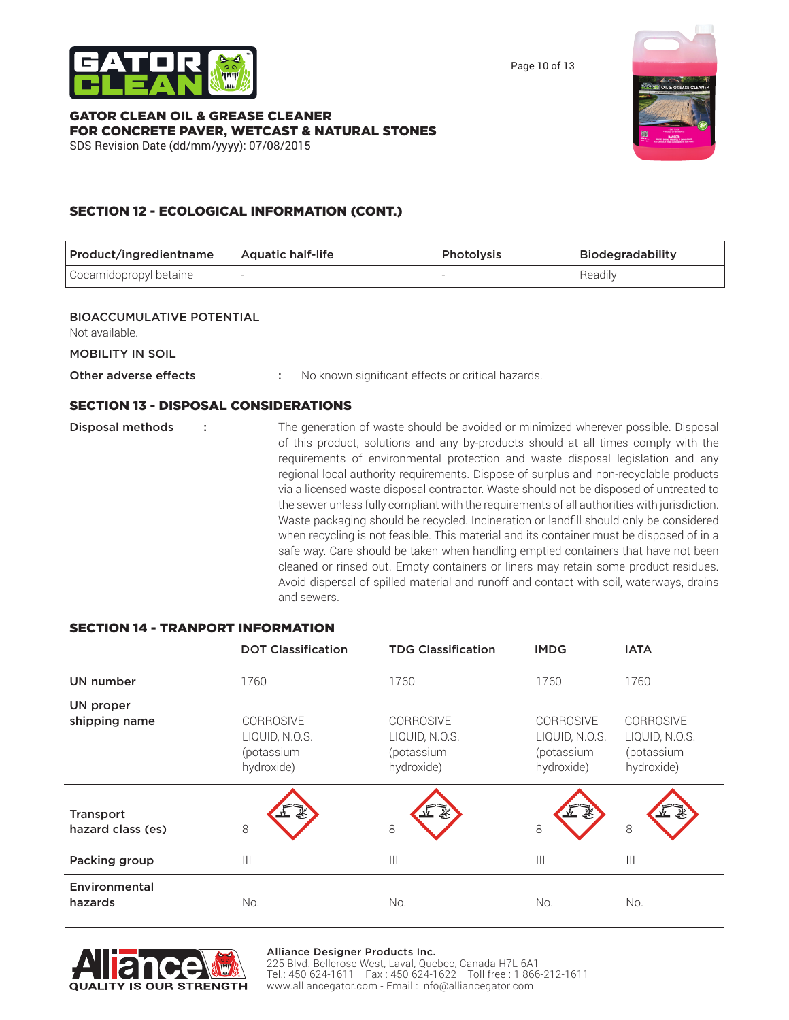

Page 10 of 13

### GATOR CLEAN OIL & GREASE CLEANER FOR CONCRETE PAVER, WETCAST & NATURAL STONES SDS Revision Date (dd/mm/yyyy): 07/08/2015



# SECTION 12 - ECOLOGICAL INFORMATION (CONT.)

| Product/ingredientname                             | <b>Aquatic half-life</b>                                                                                                                                                                                                                                                                                                                                                                                                                                                                                                                                                                                                                                                                                                                                                                                                                                                                                                                                                                                                    | Photolysis | <b>Biodegradability</b> |
|----------------------------------------------------|-----------------------------------------------------------------------------------------------------------------------------------------------------------------------------------------------------------------------------------------------------------------------------------------------------------------------------------------------------------------------------------------------------------------------------------------------------------------------------------------------------------------------------------------------------------------------------------------------------------------------------------------------------------------------------------------------------------------------------------------------------------------------------------------------------------------------------------------------------------------------------------------------------------------------------------------------------------------------------------------------------------------------------|------------|-------------------------|
| Cocamidopropyl betaine                             |                                                                                                                                                                                                                                                                                                                                                                                                                                                                                                                                                                                                                                                                                                                                                                                                                                                                                                                                                                                                                             |            | Readily                 |
|                                                    |                                                                                                                                                                                                                                                                                                                                                                                                                                                                                                                                                                                                                                                                                                                                                                                                                                                                                                                                                                                                                             |            |                         |
| <b>BIOACCUMULATIVE POTENTIAL</b><br>Not available. |                                                                                                                                                                                                                                                                                                                                                                                                                                                                                                                                                                                                                                                                                                                                                                                                                                                                                                                                                                                                                             |            |                         |
| <b>MOBILITY IN SOIL</b>                            |                                                                                                                                                                                                                                                                                                                                                                                                                                                                                                                                                                                                                                                                                                                                                                                                                                                                                                                                                                                                                             |            |                         |
| Other adverse effects                              | No known significant effects or critical hazards.                                                                                                                                                                                                                                                                                                                                                                                                                                                                                                                                                                                                                                                                                                                                                                                                                                                                                                                                                                           |            |                         |
| <b>SECTION 13 - DISPOSAL CONSIDERATIONS</b>        |                                                                                                                                                                                                                                                                                                                                                                                                                                                                                                                                                                                                                                                                                                                                                                                                                                                                                                                                                                                                                             |            |                         |
| <b>Disposal methods</b>                            | The generation of waste should be avoided or minimized wherever possible. Disposal<br>of this product, solutions and any by-products should at all times comply with the<br>requirements of environmental protection and waste disposal legislation and any<br>regional local authority requirements. Dispose of surplus and non-recyclable products<br>via a licensed waste disposal contractor. Waste should not be disposed of untreated to<br>the sewer unless fully compliant with the requirements of all authorities with jurisdiction.<br>Waste packaging should be recycled. Incineration or landfill should only be considered<br>when recycling is not feasible. This material and its container must be disposed of in a<br>safe way. Care should be taken when handling emptied containers that have not been<br>cleaned or rinsed out. Empty containers or liners may retain some product residues.<br>Avoid dispersal of spilled material and runoff and contact with soil, waterways, drains<br>and sewers. |            |                         |

# SECTION 14 - TRANPORT INFORMATION

|                                       | <b>DOT Classification</b>                                      | <b>TDG Classification</b>                                      | <b>IMDG</b>                                                    | <b>IATA</b>                                                    |
|---------------------------------------|----------------------------------------------------------------|----------------------------------------------------------------|----------------------------------------------------------------|----------------------------------------------------------------|
| UN number                             | 1760                                                           | 1760                                                           | 1760                                                           | 1760                                                           |
| <b>UN proper</b>                      |                                                                |                                                                |                                                                |                                                                |
| shipping name                         | <b>CORROSIVE</b><br>LIQUID, N.O.S.<br>(potassium<br>hydroxide) | <b>CORROSIVE</b><br>LIQUID, N.O.S.<br>(potassium<br>hydroxide) | <b>CORROSIVE</b><br>LIQUID, N.O.S.<br>(potassium<br>hydroxide) | <b>CORROSIVE</b><br>LIQUID, N.O.S.<br>(potassium<br>hydroxide) |
| <b>Transport</b><br>hazard class (es) | 8                                                              | 8                                                              | 8                                                              | 8                                                              |
| Packing group                         | $\mathbf{III}$                                                 | $\mathbf{III}$                                                 | $\mathbf{III}$                                                 | $\mathbb{H}$                                                   |
| Environmental<br>hazards              | No.                                                            | No.                                                            | No.                                                            | No.                                                            |



#### Alliance Designer Products Inc.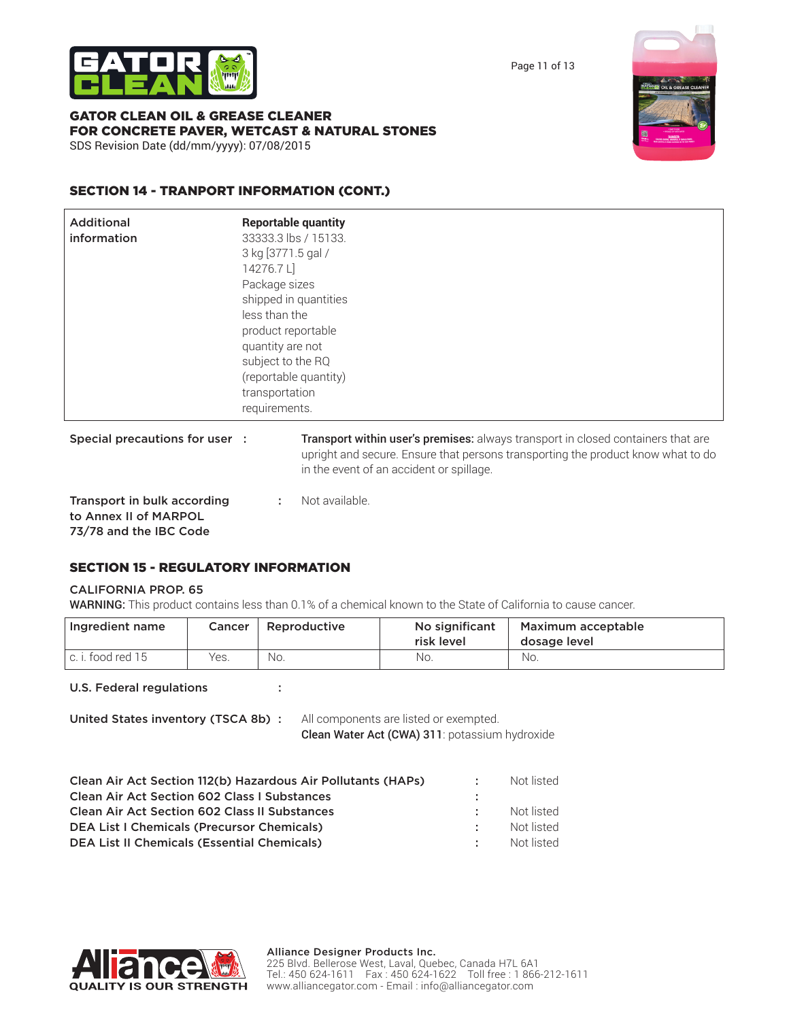



GATOR CLEAN OIL & GREASE CLEANER FOR CONCRETE PAVER, WETCAST & NATURAL STONES SDS Revision Date (dd/mm/yyyy): 07/08/2015



| <b>Additional</b><br>information                     | <b>Reportable quantity</b><br>33333.3 lbs / 15133.<br>3 kg [3771.5 gal /<br>14276.7L<br>Package sizes<br>shipped in quantities<br>less than the<br>product reportable<br>quantity are not<br>subject to the RQ<br>(reportable quantity)<br>transportation<br>requirements. |                                                                                                                                                                                                                  |
|------------------------------------------------------|----------------------------------------------------------------------------------------------------------------------------------------------------------------------------------------------------------------------------------------------------------------------------|------------------------------------------------------------------------------------------------------------------------------------------------------------------------------------------------------------------|
| Special precautions for user :                       |                                                                                                                                                                                                                                                                            | Transport within user's premises: always transport in closed containers that are<br>upright and secure. Ensure that persons transporting the product know what to do<br>in the event of an accident or spillage. |
| Transport in bulk according<br>to Annex II of MARPOL | ÷                                                                                                                                                                                                                                                                          | Not available.                                                                                                                                                                                                   |

73/78 and the IBC Code

# SECTION 15 - REGULATORY INFORMATION

### CALIFORNIA PROP. 65

WARNING: This product contains less than 0.1% of a chemical known to the State of California to cause cancer.

| Ingredient name   | <b>Cancer</b> | Reproductive | No significant<br>risk level | Maximum acceptable<br>dosage level |
|-------------------|---------------|--------------|------------------------------|------------------------------------|
| c. i. food red 15 | Yes.          | No.          | No.                          | No.                                |

U.S. Federal regulations :

United States inventory (TSCA 8b) : All components are listed or exempted.

Clean Water Act (CWA) 311: potassium hydroxide

| Clean Air Act Section 112(b) Hazardous Air Pollutants (HAPs) | п., | Not listed |
|--------------------------------------------------------------|-----|------------|
| <b>Clean Air Act Section 602 Class I Substances</b>          |     |            |
| <b>Clean Air Act Section 602 Class II Substances</b>         |     | Not listed |
| <b>DEA List I Chemicals (Precursor Chemicals)</b>            |     | Not listed |
| <b>DEA List II Chemicals (Essential Chemicals)</b>           |     | Not listed |
|                                                              |     |            |



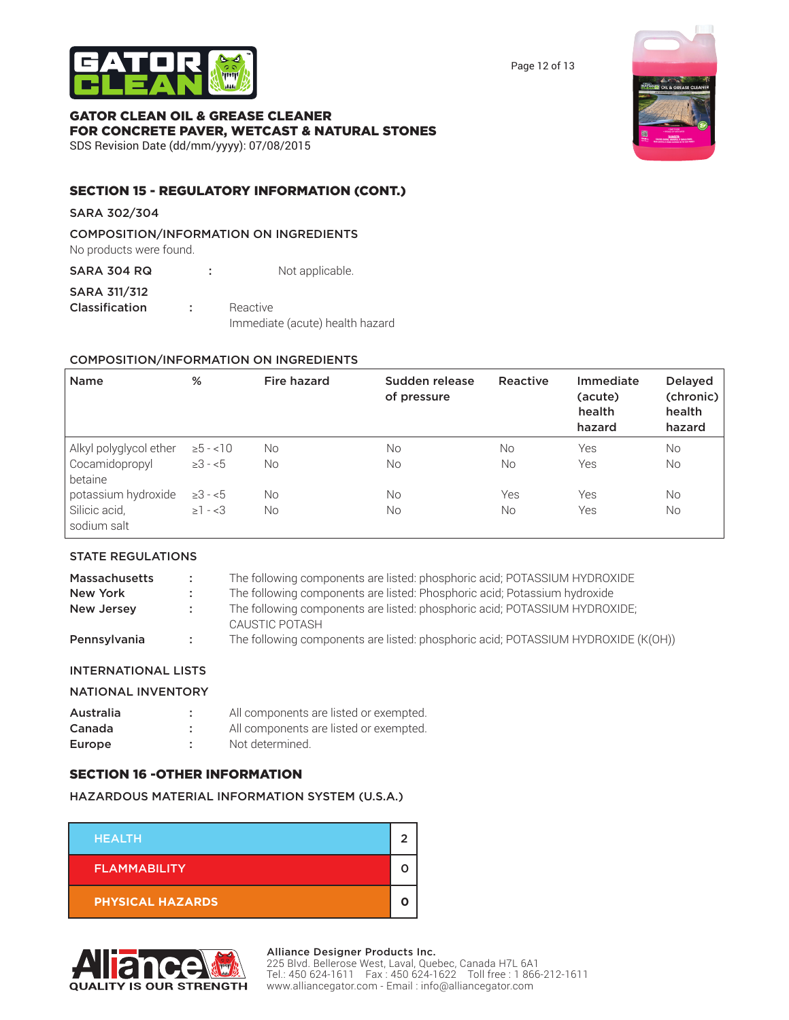

Page 12 of 13

# GATOR CLEAN OIL & GREASE CLEANER FOR CONCRETE PAVER, WETCAST & NATURAL STONES

SDS Revision Date (dd/mm/yyyy): 07/08/2015



# SECTION 15 - REGULATORY INFORMATION (CONT.)

SARA 302/304

COMPOSITION/INFORMATION ON INGREDIENTS

No products were found. SARA 304 RQ : Not applicable.

SARA 311/312 **Classification :** Reactive Immediate (acute) health hazard

## COMPOSITION/INFORMATION ON INGREDIENTS

| <b>Name</b>                  | %            | Fire hazard | Sudden release<br>of pressure | Reactive  | Immediate<br>(acute)<br>health<br>hazard | <b>Delayed</b><br>(chronic)<br>health<br>hazard |
|------------------------------|--------------|-------------|-------------------------------|-----------|------------------------------------------|-------------------------------------------------|
| Alkyl polyglycol ether       | $\ge 5 - 10$ | No.         | No                            | <b>No</b> | Yes                                      | <b>No</b>                                       |
| Cocamidopropyl<br>betaine    | $\geq 3 - 5$ | No.         | No.                           | No        | Yes                                      | <b>No</b>                                       |
| potassium hydroxide          | $\geq 3 - 5$ | No.         | No.                           | Yes       | Yes                                      | <b>No</b>                                       |
| Silicic acid,<br>sodium salt | $\geq 1 - 3$ | No.         | No.                           | No        | Yes                                      | <b>No</b>                                       |

# STATE REGULATIONS

| <b>Massachusetts</b> | - 11 | The following components are listed: phosphoric acid; POTASSIUM HYDROXIDE                    |
|----------------------|------|----------------------------------------------------------------------------------------------|
| New York             |      | The following components are listed: Phosphoric acid; Potassium hydroxide                    |
| New Jersey           |      | The following components are listed: phosphoric acid; POTASSIUM HYDROXIDE;<br>CAUSTIC POTASH |
| Pennsylvania         |      | The following components are listed: phosphoric acid; POTASSIUM HYDROXIDE (K(OH))            |

# INTERNATIONAL LISTS

### NATIONAL INVENTORY

| Australia | All components are listed or exempted. |
|-----------|----------------------------------------|
| Canada    | All components are listed or exempted. |
| Europe    | Not determined.                        |

# SECTION 16 -OTHER INFORMATION

# HAZARDOUS MATERIAL INFORMATION SYSTEM (U.S.A.)

| <b>HEALTH</b>           |  |
|-------------------------|--|
| <b>FLAMMABILITY</b>     |  |
| <b>PHYSICAL HAZARDS</b> |  |



#### Alliance Designer Products Inc.